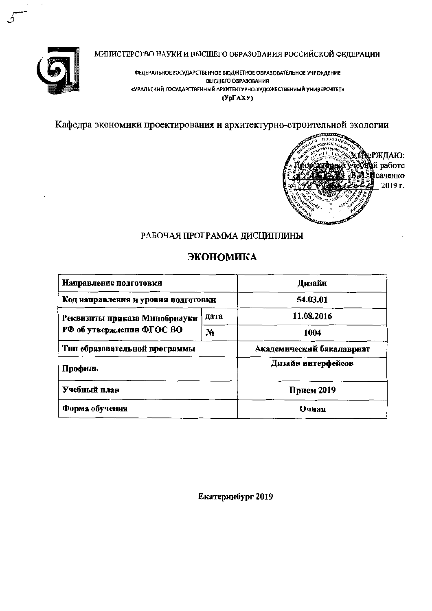



ФЕДЕРАЛЬНОЕ ГОСУДАРСТВЕННОЕ БЮДЖЕТНОЕ ОБРАЗОВАТЕЛЬНОЕ УЧРЕЖДЕНИЕ ВЫСШЕГО ОБРАЗОВАНИЯ «УРАЛЬСКИЙ ГОСУДАРСТВЕННЫЙ АРХИТЕКТУРНО-ХУДОЖЕСТВЕННЫЙ УНИВЕРСИТЕТ»  $(Yp\Gamma A X Y)$ 

Кафедра экономики проектирования и архитектурно-строительной экологии



# РАБОЧАЯ ПРОГРАММА ДИСЦИПЛИНЫ

# ЭКОНОМИКА

| Направление подготовки              | Дизайн                    |                    |  |
|-------------------------------------|---------------------------|--------------------|--|
| Код направления и уровня подготовки | 54.03.01                  |                    |  |
| Реквизиты приказа Минобрнауки       | лата                      | 11.08.2016         |  |
| РФ об утверждении ФГОС ВО           | N <sub>2</sub>            | 1004               |  |
| Тип образовательной программы       | Академический бакалавриат |                    |  |
| Профиль                             |                           | Дизайн интерфейсов |  |
| Учебный план                        |                           | Прием 2019         |  |
| Форма обучения                      | Очная                     |                    |  |

Екатеринбург 2019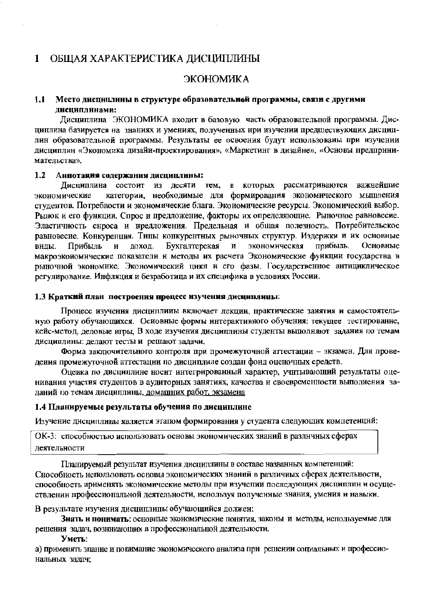#### $\mathbf{1}$ ОБЩАЯ ХАРАКТЕРИСТИКА ДИСЦИПЛИНЫ

### **ЭКОНОМИКА**

#### $1.1$ Место дисциплины в структуре образовательной программы, связи с другими лисциплинами:

Дисциплина ЭКОНОМИКА входит в базовую часть образовательной программы. Дисциплина базируется на знаниях и умениях, полученных нри изучении предшествующих дисциплин образовательной программы. Результаты ее освоения будут использованы при изучении дисциплин «Экономика дизайи-проектирования», «Маркетинг в дизайне», «Основы предпринимательства».

#### $1.2$ Аннотация содержания дисциплины:

десяти тем, в которых рассматриваются важнейшие Лисциплина состоит из категории, необходимые для формирования экономического мышления экономические студентов. Потребности и экономические блага. Экоиомические ресурсы. Экономический выбор. Рынок и его функции. Спрос и предложение, факторы их определяющие. Рыночное равновесие. Эластичность снроса и нредложения. Предельная и общая полезность. Потребительское равновесие. Конкуренция. Тины конкурентных рыночных структур. Издержки и их основные Прибыль доход. Бухгалтерская  $\mathbf{H}$ экономическая прибыль. Основные виды. И макроэкономические показатели и методы их расчета Экономические функции государства в рыночной экономике. Экономический цикл и его фазы. Государственное антициклическое регулирование. Инфляция и безработица и их специфика в условиях России.

#### 1.3 Краткий план построения процесс изучения дисциплины:

Процесс изучения дисциплииы включает лекции, практические занятия и самостоятельную работу обучающихся. Осиовные формы интерактивного обучения: текущее тестирование, кейс-метод, деловые игры. В ходе изучения дисциплины студенты выполняют задания по темам дисциплины: делают тесты и решают задачи.

Форма заключительного контроля при промежуточной аттестации - экзамен. Для проведения промежуточной аттестации по дисциплине создан фоид оценочных средств.

Оцеика по дисциплине носит интегрированный характер, учитывающий результаты оценивания участия студентов в аудиторных занятиях, качества и своевременности выполнения заданий по темам дисциплины, домашних работ, экзамена

#### 1.4 Планируемые результаты обучения по дисциплине

Изучение дисциплины является этапом формирования у студента следующих компетенций:

ОК-3: способностью использовать основы экономических знаний в различных сферах деятельности

Планируемый результат изучелия дисциплины в составе названных компетенций: Снособность использовать основы экономических знаний в различных сферах деятельности, способность применять экономические методы при изучепии последующих дисциплин и осуществлении профессиональной деятельности, используя полученные знания, умения и навыки.

В результате изучения дисциплипы обучающийся должен:

Знать и понимать: основные экономические понятия, законы и методы, используемые для решения задач, возникающих в професснональной деятельности.

Уметь:

а) применять злание и понимание экономического анализа при решении социальных и профессиональных задач;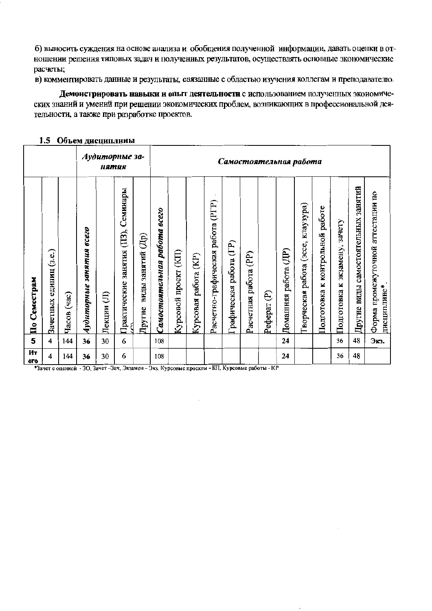б) выносить суждения на основе анализа и обобщения полученной информации, давать оценки в отношении решения типовых задач и полученных результатов, осуществлять основные экономические расчеты;

в) комментировать данные и результаты, связанные с областью изучения коллегам и преподавателю.

Демонстрировать навыки и опыт деятельности с использованием полученных экоиомических знаний и умений при решении экономических проблем, возникающих в профессиональной деятельности, а также при разработке проектов.

|                  |                              |                             |                                       | нятия       | Аудиторные за-                         |                               | Самостоятельная работа       |                                          |                            |                                      |                        |                       |                          |                      |                                             |                                       |                                     |                                     |                                                   |
|------------------|------------------------------|-----------------------------|---------------------------------------|-------------|----------------------------------------|-------------------------------|------------------------------|------------------------------------------|----------------------------|--------------------------------------|------------------------|-----------------------|--------------------------|----------------------|---------------------------------------------|---------------------------------------|-------------------------------------|-------------------------------------|---------------------------------------------------|
| По Семестрам     | (3.e.)<br>едипиц<br>Зачетных | (a <sub>BP</sub> )<br>Часов | 0239<br><b>SUHRHIUR</b><br>Аудиторные | €<br>Лекции | занятия (ПЗ), Семинары<br>Практические | (如)<br>виды занятий<br>Другие | Самостоятельная работа всего | $\overline{\text{H}}$<br>Курсовой проект | (KP)<br>работа<br>Курсовая | (PTP)<br>Расчетно-графическая работа | рафическая работа (ГР) | Расчетная работа (PP) | $\widehat{e}$<br>Реферат | Домашняя работа (ДР) | клаузура)<br>(acce,<br>работа<br>Гворческая | работе<br>к контрольной<br>Подготовка | зачету<br>экзамену,<br>Подготовка к | Другие виды самостоятельных занятий | Форма промежуточной аггестации по<br>дисциплине*. |
| 5                | 4                            | 144                         | 36                                    | 30          | 6                                      |                               | 108                          |                                          |                            |                                      |                        |                       |                          | 24                   |                                             |                                       | 36                                  | 48                                  | Экз.                                              |
| Ит<br><b>OTO</b> | 4                            | 144                         | 36                                    | 30          | 6                                      |                               | 108                          |                                          |                            |                                      |                        |                       |                          | 24                   |                                             |                                       | 36                                  | 48                                  |                                                   |

#### 15 Объем лиспиплины

\*Зачет с оценкой - 30, Зачет - Зач, Экзамен - Экз, Курсовые проекты - КП, Курсовые работы - КР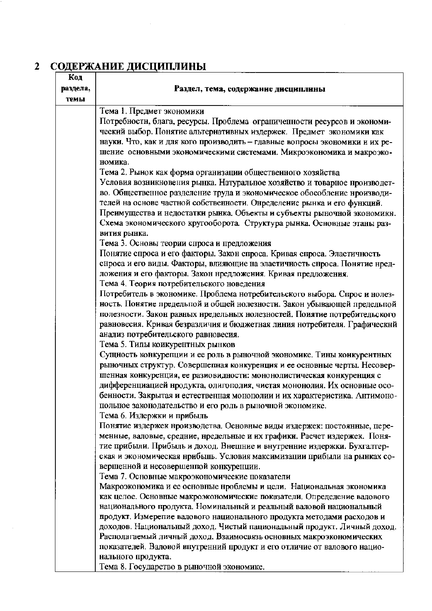# 2 СОДЕРЖАНИЕ ДИСЦИПЛИНЫ

| Код      |                                                                                                                                                                                                                                                                                                                                                                                                                                                                       |
|----------|-----------------------------------------------------------------------------------------------------------------------------------------------------------------------------------------------------------------------------------------------------------------------------------------------------------------------------------------------------------------------------------------------------------------------------------------------------------------------|
| раздела, | Раздел, тема, содержание дисциплины                                                                                                                                                                                                                                                                                                                                                                                                                                   |
| темы     |                                                                                                                                                                                                                                                                                                                                                                                                                                                                       |
|          | Тема 1. Предмет экономики                                                                                                                                                                                                                                                                                                                                                                                                                                             |
|          | Потребностн, блага, ресурсы. Проблема ограниченности ресурсов и экономи-<br>ческий выбор. Понятие альтернативных издержек. Предмет экономики как<br>науки. Что, как и для кого производить - главные вопросы экономики и их ре-<br>шение основными экономическими системами. Микроэкономика и макроэко-                                                                                                                                                               |
|          | номика.                                                                                                                                                                                                                                                                                                                                                                                                                                                               |
|          | Тема 2. Рынок как форма организации общественного хозяйства<br>Условия возникновения рынка. Натуральное хозяйство и товарное нроизводст-<br>во. Общественное разделение труда и экономическое обособление нроизводи-<br>телей на основе частной собственности. Онределение рынка и его функций.<br>Преимущества и недостатки рынка. Объекты и субъекты рыночной экономикн.<br>Схема экономического кругооборота. Структура рынка. Основные этаны раз-<br>вития рынка. |
|          | Тема 3. Основы теории спроса и предложения                                                                                                                                                                                                                                                                                                                                                                                                                            |
|          | Понятие спроса и его факторы. Закон спроса. Кривая спроса. Эластичность<br>снроса и его виды. Факторы, влияющие на эластичность снроса. Понятие нред-<br>ложения и его факторы. Закон нредложения. Кривая предложения.<br>Тема 4. Теория потребительского новедения                                                                                                                                                                                                   |
|          | Потребитель в экономике. Проблема нотребительского выбора. Спрос и нолез-                                                                                                                                                                                                                                                                                                                                                                                             |
|          | ность. Понятие предельпой и общей нолезности. Закон убывающей предельпой<br>полезности. Закон равных нредельных нолезностей. Поиятие потребительского<br>равновесия. Кривая безразличия и бюджетная линия нотребителя. Графическнй<br>анализ потребительского равновесия.                                                                                                                                                                                             |
|          | Тема 5. Типы коикурентных рынков                                                                                                                                                                                                                                                                                                                                                                                                                                      |
|          | Сущность конкурепции и ее роль в рыночной экономике. Тины конкурентных<br>рыночных структур. Совершепная конкуренция и ее основные черты. Несовер-<br>шенная конкуренция, ее разиовидности: мононолистическая конкуренция с<br>дифференциацией нродукта, олигополия, чистая мононолия. Их основные осо-<br>бенности. Закрытая и естественная монополии и их характеристика. Антимоно-<br>польное законодательство и его роль в рыночной экономике.                    |
|          | Тема 6. Издержки и прибыль<br>Понятие издержек нроизводства. Основные виды издержек: постоянные, пере-<br>менные, валовые, средние, нредельные и их графики. Расчет издержек. Поня-<br>тие прибыли. Прибыль и доход. Внешние и внутренние издержки. Бухгалтер-<br>ская и экономическая нрибыць. Условия максимизации прибыли на рынках со-<br>вершенной и несовершенной конкуренции.                                                                                  |
|          | Тема 7. Основные макроэкономические показатели<br>Макроэкономика и ее основные нроблемы и цели. Национальная экономика<br>как целое. Основные макроэкономические показатели. Определение валового<br>национального продукта. Номинальный и реальный валовой национальный<br>продукт. Измерепие валового национального продукта методами расходов и<br>доходов. Национальный доход. Чистый пациональный продукт. Личный доход.                                         |
|          | Располагаемый личный доход. Взаимосвязь основных макроэкономических<br>показателей. Валовой впутренний продукт и его отличие от валового нацио-<br>нального продукта.<br>Тема 8. Государство в рыночной экономике.                                                                                                                                                                                                                                                    |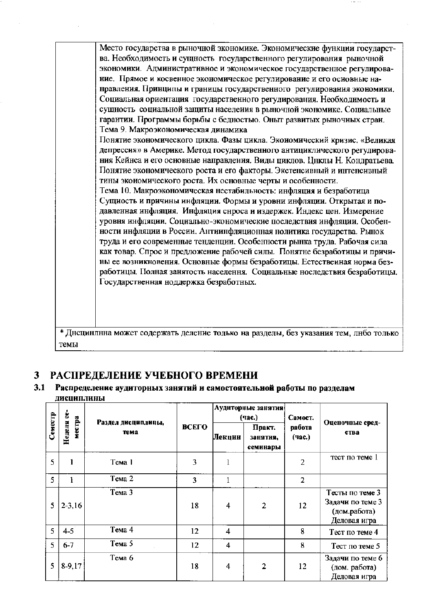Место государства в рыночной экономике. Экономические функции государства. Необходимость и сущность государственного регулирования рыночной экономики. Административное и экономическое государственное регулирование. Прямое и косвенное экономическое регулирование и его осиовные нанравления. Принципы и границы государственного регулирования экономики. Социальная ориентация государственного регулирования. Необходимость и сущность социальной защиты населеиия в рыночной экономике. Социальные гарантии. Программы борьбы с бедностью. Оныт развитых рыночных стран. Тема 9. Макроэкономическая динамика Понятие экономического цикла. Фазы цикла. Экоиомический кризис. «Великая депрессия» в Америке. Метод государственного антициклического регулирования Кейнса и его основные направления. Виды циклов. Цнклы Н. Кондратьева. Понятие экономического роста и его факторы. Экстенсивный и интенсивный тины экономического роста. Их основные черты и особенности. Тема 10. Макроэкономическая нестабильность: инфляция и безработица Сущиость и причины инфляции. Формы и уровни инфляции. Открытая и подавленная инфляция. Инфляция снроса и издержек. Индекс цен. Измерение уровня инфляции. Социально-экономические последствия инфляции. Особенности инфляции в России. Антиинфляционная нолитика государства. Рынок труда и его современные тенденции. Особенности рынка труда. Рабочая сила как товар. Спрос и предложение рабочей силы. Понятне безработицы и причины ее возникновения. Основные формы безработицы. Естественная норма безработицы. Полная занятость населення. Соцнальные носледствия безработицы. Государственная ноддержка безработных.

\* Днецинлнна может содержать деление только на разделы, без указания тем, лнбо только темы

#### РАСПРЕДЕЛЕНИЕ УЧЕБНОГО ВРЕМЕНИ 3

 $3.1$ Распределение аудиторных занятий и самостоятельной работы по разделам лиспиплины

|         |                      |                            |       |        | Аудиторные занятия<br>(час.)   | Самост.          | Оценочные сред-<br>ства                                             |  |
|---------|----------------------|----------------------------|-------|--------|--------------------------------|------------------|---------------------------------------------------------------------|--|
| Семестр | Неделя се-<br>местра | Раздел дисциплины,<br>тема | ВСЕГО | Лекции | Практ.<br>занятия,<br>семинары | работа<br>(час.) |                                                                     |  |
| 5       | 1                    | Тема 1                     | 3     |        |                                | 2                | тест по теме 1                                                      |  |
| 5       |                      | Тема 2                     | 3     |        |                                | $\overline{2}$   |                                                                     |  |
| 5       | $2 - 3, 16$          | Тема 3                     | 18    | 4      | $\overline{2}$                 | 12               | Тесты по теме 3<br>Задачи по теме 3<br>(дом.работа)<br>Деловая игра |  |
| 5       | $4 - 5$              | Тема 4                     | 12    | 4      |                                | 8                | Тест по теме 4                                                      |  |
| 5       | $6 - 7$              | Тема 5                     | 12    | 4      |                                | 8                | Тест по теме 5                                                      |  |
| 5       | $8-9,17$             | Тема 6                     | 18    | 4      | $\overline{2}$                 | 12               | Задачи по теме 6<br>(дом. работа)<br>Деловая игра                   |  |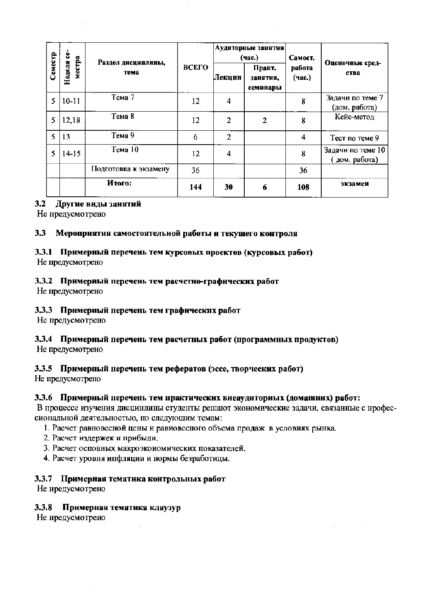|         | Ů                |                            |       |                | Аудиторные занятия<br>(час.)   | Самост.          | Оценочные сред-<br>ства            |  |
|---------|------------------|----------------------------|-------|----------------|--------------------------------|------------------|------------------------------------|--|
| Семестр | местра<br>Неделя | Раздел дисциплины,<br>тема | ВСЕГО | Лекции         | Практ.<br>занятия,<br>семинары | работа<br>(час.) |                                    |  |
| 5       | $10 - 11$        | Тема 7                     | 12    | 4              |                                | 8                | Задачи по теме 7<br>(дом. работа)  |  |
| 5       | 12,18            | Тема 8                     | 12    | 2              | $\mathbf{2}$                   | 8                | Кейс-метод                         |  |
| 5       | 13               | Тема 9                     | 6     | $\overline{2}$ |                                | 4                | Тест по теме 9                     |  |
| 5       | $14 - 15$        | Tема 10                    | 12    | 4              |                                | 8                | Задачи по теме 10<br>(дом. работа) |  |
|         |                  | Подготовка к экзамену      | 36    |                |                                | 36               |                                    |  |
|         |                  | Итого:                     | 144   | 30             | 6                              | 108              | экзамен                            |  |

#### $3.2$ Другне виды занятий

Не предусмотрено

#### Меропрнятия самостоятельной работы и текущего контроля  $3.3$

#### 3.3.1 Примерный перечень тем курсовых проектов (курсовых работ) Не предусмотрено

# 3.3.2 Примерный перечень тем расчетно-графических работ

Не предусмотрено

### 3.3.3 Примерный перечень тем графических работ

Не предусмотрено

### 3.3.4 Примерный перечень тем расчетных работ (программных продуктов)

Не предусмотрено

# 3.3.5 Примерный перечень тем рефератов (эссе, творческих работ)

Не предусмотрено

### 3.3.6 Примерный перечень тем практических виеаудиториых (домашних) работ:

В процессе изучения дисцинлины студенты решают экономические задачи, связанные с нрофессиональной деятельностью, по следующим темам:

- 1. Расчет равновесной цены и равиовесного объема продаж в условиях рынка.
- 2. Расчет издержек и прибыли.
- 3. Расчет осповных макроэкономических показателей.
- 4. Расчет уровня ипфляции и нормы безработицы.

#### 3.3.7 Примерная тематика контрольных работ

Не нредусмотрено

#### $3.3.8$ Примерная тематика клаузур

Не нредусмотрено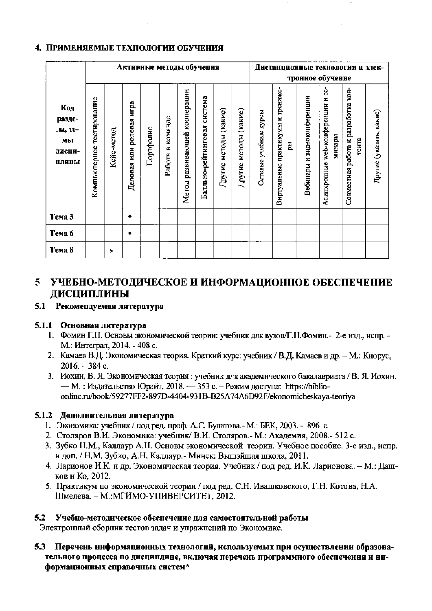### 4. ПРИМЕНЯЕМЫЕ ТЕХНОЛОГИИ ОБУЧЕНИЯ

|                                                   | Активные методы обучения  |            |                          |           |                  |                                 |                                |                       |                       | Дистанционные технологии и элек-<br>тронное обучение |                                         |                             |                                                    |                                              |                         |
|---------------------------------------------------|---------------------------|------------|--------------------------|-----------|------------------|---------------------------------|--------------------------------|-----------------------|-----------------------|------------------------------------------------------|-----------------------------------------|-----------------------------|----------------------------------------------------|----------------------------------------------|-------------------------|
| Код<br>разде-<br>ла, те-<br>мы<br>дисци-<br>ПЛИНЫ | Компьютерное тестирование | Кейс-метод | Деловая или ролевая игра | Портфолно | Работа в команде | развивающей кооперации<br>Meron | система<br>Балльно-рейтинговая | Другие методы (какие) | Другие методы (какие) | Сетевые учебные курсы                                | Виргуальные практикумы и тренаже-<br>E, | Вебинары и видеоконференции | ġ<br>z<br>web-конференции<br>минары<br>Асинхронные | Совместиая работа и разработка кон-<br>тента | Другие (указать, какие) |
| Тема 3                                            |                           |            | $\bullet$                |           |                  |                                 |                                |                       |                       |                                                      |                                         |                             |                                                    |                                              |                         |
| Тема б                                            |                           |            | ٠                        |           |                  |                                 |                                |                       |                       |                                                      |                                         |                             |                                                    |                                              |                         |
| Tema <sub>8</sub>                                 |                           | 価          |                          |           |                  |                                 |                                |                       |                       |                                                      |                                         |                             |                                                    |                                              |                         |

#### УЧЕБНО-МЕТОДИЧЕСКОЕ И ИНФОРМАЦИОННОЕ ОБЕСПЕЧЕНИЕ 5. **ЛИСЦИПЛИНЫ**

#### 5.1 Рекомендуемая литература

#### 5.1.1 Основная литература

- 1. Фомин Г.Н. Основы экономической теории: учебник для вузов/Г.Н.Фомин.- 2-е изд., испр. -М.: Интеграл, 2014. - 408 с.
- 2. Камаев В.Д. Экономическая теория. Краткий курс: учебник / В.Д. Камаев и др. М.: Кнорус,  $2016. - 384$  c.
- 3. Иохин, В. Я. Экономическая теория : учебник для академического бакалавриата / В. Я. Иохин. — М.: Издательство Юрайт, 2018. — 353 с. – Режим доступа: https://biblioonline.ru/book/59277FF2-897D-4404-931B-B25A74A6D92F/ekonomicheskaya-teoriya

### 5.1.2 Дополнительная литература

- 1. Экономика: учебник / под ред. проф. А.С. Булатова. М.: БЕК, 2003. 896 с.
- 2. Столяров В.И. Экономика: учебник/ В.И. Столяров.- М.: Академия, 2008.- 512 с.
- 3. Зубко Н.М., Каллаур А.Н. Основы экономической теории. Учебное пособие. 3-е изд., испр. и доп. / Н.М. Зубко, А.Н. Каллаур. - Минск: Вышэйшая школа, 2011.
- 4. Ларионов И.К. и др. Экономическая теория. Учебиик / под ред. И.К. Лариоиова. М.: Дашков и Ко. 2012.
- 5. Практикум по экономической теории / под ред. С.Н. Ивашковского, Г.Н. Котова, Н.А. Шмелева. - М.:МГИМО-УНИВЕРСИТЕТ, 2012.

### 5.2 Учебно-методическое обеспечение для самостоятельной работы

Электронный сборник тестов задач и упражнений по Экономике.

### 5.3 Перечень информационных технологий, используемых при осуществлении образовательного процесса по дисциплине, включая перечень программного обеспечения и информационных справочных систем\*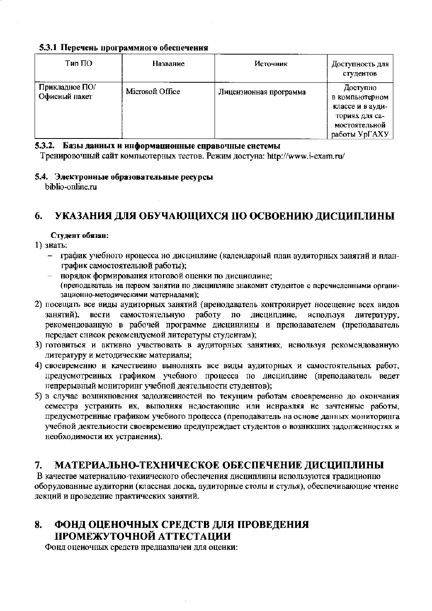#### 5.3.1 Перечень программного обеспечения

| Тип ПО                          | Название         | Источник               | Доступность для<br>студентов                                                                       |
|---------------------------------|------------------|------------------------|----------------------------------------------------------------------------------------------------|
| Прикладное ПО/<br>Офисный пакет | Microsoft Office | Лицензионная программа | Доступно<br>в компьютерном<br>классе и в ауди-<br>ториях для са-<br>мостоятельной<br>работы УрГАХУ |

#### 5.3.2. Базы данных и информационные справочные системы

Тренировочный сайт компьютерных тестов. Режим достуна: http://www.i-exam.ru/

#### 5.4. Электронные образовательные ресурсы

biblio-online.ru

#### УКАЗАНИЯ ДЛЯ ОБУЧАЮЩИХСЯ ПО ОСВОЕНИЮ ДИСЦИПЛИНЫ 6.

#### Студент обязан:

1) знать:

- график учебного нроцесса но дисциплине (календарный план аудиторных занятий и нланграфик самостоятельной работы);
- норядок формирования итоговой оценки по дисциплине; (преподаватель на первом занятии по дисциплине знакомит студентов с перечисленными организационно-методическими материалами);
- 2) посещать все виды аудиторных занятий (нренодаватель контролирует носещение всех видов вести самостоятельную работу дисциплине, используя занятий),  $\mathbf{u}$ литературу, рекомендованную в рабочей программе дисцинлины и преподавателем (преподаватель нередает снисок рекомендуемой литературы студентам);
- 3) готовиться и активно участвовать в аудиторных занятиях, иснользуя рекомендованную литературу и методические материалы;
- 4) своевременно и качествеино вынолнять все виды аудиторных и самостоятельных работ, предусмотреиных графиком учебного процесса по дисциплине (преподаватель ведет непрерывный мониторинг учебной деятельности студентов);
- 5) в случае возникновения задолжеиностей по текущим работам своевременно до окончания семестра устранить их, выполняя недостающие или иснравляя не зачтенные работы, предусмотренные графиком учебиого процесса (преподаватель на основе данных мониторинга учебной деятельиости своевременио предупреждает студентов о возникших задолженностях и необходимости их устранения).

#### $7.$ МАТЕРИАЛЬНО-ТЕХНИЧЕСКОЕ ОБЕСПЕЧЕНИЕ ДИСЦИПЛИНЫ

В качестве материально-техиического обеспечения дисциплины используются традиционно оборудованные аудитории (классная доска, аудиторные столы и стулья), обеспечивающие чтение лекций и нроведение практических заиятий.

#### ФОНД ОЦЕНОЧНЫХ СРЕДСТВ ДЛЯ ПРОВЕДЕНИЯ 8. ПРОМЕЖУТОЧНОЙ АТТЕСТАЦИИ

Фонд оцеиочных средств предназначеи для оцеики: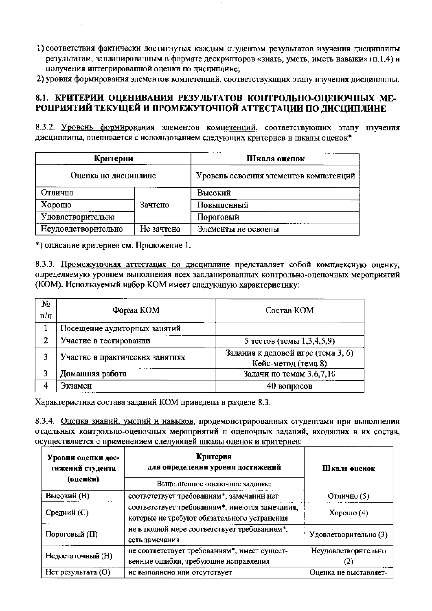- 1) соответствия фактически достигнутых каждым студентом результатов изучения дисциплины результатам, запланированным в формате дескрипторов «знать, уметь, иметь навыки» (п.1.4) и получения интегрированной оценки по дисциплине:
- 2) уровня формирования элементов компетепций, соответствующих этапу изучения дисциплнны.

# 8.1. КРИТЕРИИ ОЦЕНИВАНИЯ РЕЗУЛЬТАТОВ КОНТРОЛЬНО-ОЦЕНОЧНЫХ МЕ-РОПРИЯТИЙ ТЕКУЩЕЙ И ПРОМЕЖУТОЧНОЙ АТТЕСТАЦИИ ПО ДИСЦИПЛИНЕ

8.3.2. Уровень формирования элементов компетенций, соответствующих этапу нзучения дисциплипы, оценнвается с использованием следующих критериев н шкалы оценок\*

| Критерии             |            | Шкала оценок                           |  |  |  |  |
|----------------------|------------|----------------------------------------|--|--|--|--|
| Оценка по дисциплине |            | Уровень освоения элементов компетенций |  |  |  |  |
| Отлично              |            | Высокий                                |  |  |  |  |
| Хорошо               | Зачтено    | Повышенный                             |  |  |  |  |
| Удовлетворительно    |            | Пороговый                              |  |  |  |  |
| Неудовлетворительно  | Не зачтено | Элементы не освоепы                    |  |  |  |  |

\*) описание критериев см. Приложение 1.

8.3.3. Промежуточная аттестация по дисциплине представляет собой комплексную оценку, определяемую уровнем выполнения всех запланированных контрольно-оцепочных мероприятий (КОМ). Используемый набор КОМ имеет следующую характеристнку:

| N₫<br>$\Pi/\Pi$ | Форма КОМ                       | Состав КОМ                                                |
|-----------------|---------------------------------|-----------------------------------------------------------|
|                 | Посещение аудиторных занятий    |                                                           |
| 2               | Участие в тестировании          | 5 тестов (темы 1,3,4,5,9)                                 |
|                 | Участие в практических занятиях | Задания к деловой игре (тема 3, 6)<br>Кейс-метод (тема 8) |
| ٦               | Домашняя работа                 | Задачи по темам 3,6,7,10                                  |
|                 | Экзамен                         | 40 вопросов                                               |

Характеристика состава заданий КОМ приведена в разделе 8.3.

8.3.4. Оцепка знаний, умелий н иавыков, продемонстрированных студептами при выполпелии отдельных коитрольно-оценочных мероприятий н оцепочных заданий, входящих в их состав, осуществляется с применением следующей шкалы оценок и критериев:

| Уровни оценки дос-<br>тижений студента<br>(оценки) | Критерии<br>для определения уровня достижений                                                 | Шкала оценок             |
|----------------------------------------------------|-----------------------------------------------------------------------------------------------|--------------------------|
|                                                    | Выполненное оценочное задание:                                                                |                          |
| Высокий (В)                                        | соответствует требованиям*, замечаний нет                                                     | Отлично (5)              |
| Средний (С)                                        | соответствует требованиям*, имеются замечания,<br>которые не требуют обязательного устранения | $X$ орошо $(4)$          |
| Пороговый (П)                                      | не в полной мере соответствует требованиям*,<br>есть замечания                                | Удовлетворительно (3)    |
| Недостаточный (Н)                                  | не соответствует требованиям*, имеет сущест-<br>венные ошибки, требующие исправления          | Неудовлетворительно<br>2 |
| Нет результата (O)                                 | не выполнено или отсутствует                                                                  | Оценка не выставляет-    |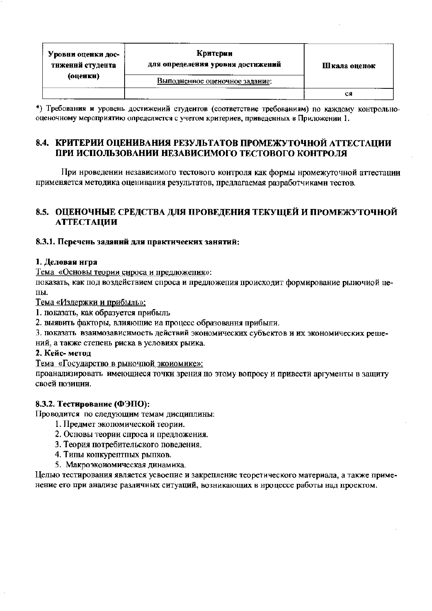| Уровни оценки дос-<br>тижений студента<br>(оценки) | Критерии<br>для определения уровня достижений<br>Выполненное оценочное задание: | Шкала оценок |
|----------------------------------------------------|---------------------------------------------------------------------------------|--------------|
|                                                    |                                                                                 | cя           |

\*) Требования и уровень достижений студентов (соответствие требованиям) по каждому контрольнооценочному мероприятию определяется с учетом критериев, приведенных в Приложении 1.

### 8.4. КРИТЕРИИ ОЦЕНИВАНИЯ РЕЗУЛЬТАТОВ ПРОМЕЖУТОЧНОЙ АТТЕСТАЦИИ ПРИ ИСПОЛЬЗОВАНИИ НЕЗАВИСИМОГО ТЕСТОВОГО КОНТРОЛЯ

При нроведении независимого тестового контроля как формы нромежуточной аттестации применяется методика оценивания результатов, предлагаемая разработчиками тестов.

### 8.5. ОЦЕНОЧНЫЕ СРЕДСТВА ДЛЯ ПРОВЕДЕНИЯ ТЕКУЩЕЙ И ПРОМЕЖУТОЧНОЙ **АТТЕСТАЦИИ**

#### 8.3.1. Перечень заданий для практических занятий:

#### 1. Деловая нгра

Тема «Основы теории снроса и предложения»:

показать, как под воздействием спроса и предложения происходит формирование рыночиой цепы.

Тема «Издержки и прибыль»:

1. показать, как образуется прибыль

2. выявить факторы, влияющие на процесс образовання прибыли.

3. показать взаимозависимость действий экономических субъектов и их экономических реше-

ний, а также степень риска в условиях рыика.

### 2. Кейс-метод

<u>Тема «Государство в рыночной экономике»:</u>

проанализировать имеющиеся точки зрения по этому вопросу и привести аргументы в защиту своей позиции.

#### 8.3.2. Тестирование (ФЭПО):

Проводится по следующим темам дисциплины:

- 1. Предмет экопомической теории.
- 2. Осповы теории спроса и предложения.
- 3. Теория потребительского поведения.
- 4. Типы копкурептпых рыпков.
- 5. Макроэкоиомическая динамика.

Целью тестирования является усвоепие и закрепление теоретического материала, а также применение его при анализе различных ситуаций, возникающих в нроцессе работы над проектом.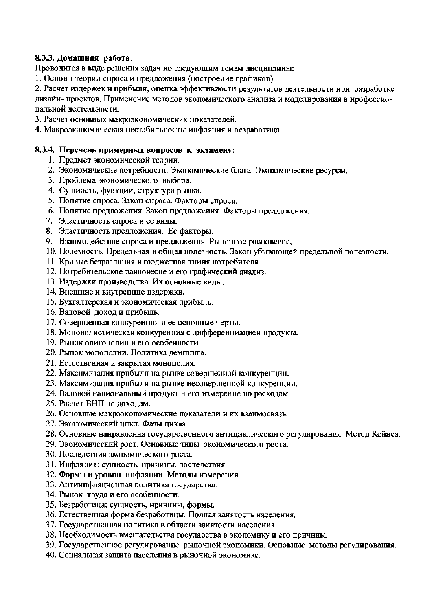#### 8.3.3. Домашняя работа:

Проводится в виде решения задач но следующим темам дисциплины:

1. Основы теории спроса и предложения (ностроение графиков).

2. Расчет издержек и нрибыли, оценка эффективиости результатов деятельности нри разработке дизайи-проектов. Применение методов экопомического анализа и моделирования в нрофессиопальиой деятельности.

3. Расчет основных макроэкономических показателей.

4. Макроэкономическая нестабильность: инфляция и безработица,

#### 8.3.4. Перечень примерных вопросов к экзамену:

- 1. Предмет экономической теории.
- 2. Экоиомические потребности. Экономические блага. Экономические ресурсы.
- 3. Проблема экономического выбора.
- 4. Сущиость, функции, структура рынка.
- 5. Понятие снроса. Закон снроса. Факторы спроса.
- 6. Понятие предложения. Закон предложения. Факторы предложения.
- 7. Эластичность спроса и ее виды.
- 8. Эластичность предложения. Ее факторы.
- 9. Взаимодействие спроса и предложения. Рыночное равновесне,
- 10. Полезность. Предельная н общая полезность. Закон убывающей предельной полезности.
- 11. Кривые безразличия и бюджетная линия нотребителя.
- 12. Потребительское равновесне и его графический анализ.
- 13. Издержки производства. Их основные виды.
- 14. Внешние и внутренние нздержки.
- 15. Бухгалтерская и экономическая прибыль.
- 16. Валовой доход и прибыль.
- 17. Совершенная конкуренция и ее основные черты.
- 18. Мопонолистическая копкуренция с дифференциацией продукта.
- 19. Рыпок олигополии и его особенности.
- 20. Рыпок мопополии. Политика демннига.
- 21. Естественная и закрытая монополия.
- 22. Максимизация прибыли на рынке совершенной конкуренции.
- 23. Максимизация нрибыли на рынке иесовершенной конкуренции.
- 24. Валовой национальный продукт н его измерение по расходам.
- 25. Расчет ВНП по доходам.
- 26. Основные макроэкономические ноказатели и их взаимосвязь.
- 27. Экономический цнкл. Фазы цикла.
- 28. Основные нанравления государственного антициклического регулирования. Метод Кейиса.
- 29. Экономический рост. Основные типы экономического роста.
- 30. Последствия экономического роста.
- 31. Иифляция: сущность, причины, последствия.
- 32. Формы и уровни инфляции. Методы измерения.
- 33. Антиинфляционная политика государства.
- 34. Рынок труда и его особенности.
- 35. Безработица: сущность, нричины, формы.
- 36. Естественная форма безработицы. Полная заиятость населения.
- 37. Государственная политика в области заиятости населения.
- 38. Необходимость вмешательства государства в экопомику и его причины.
- 39. Государственное регулирование рыцочной экономики. Осповные методы регулирования.
- 40. Социальная защита паселения в рыночной экономике.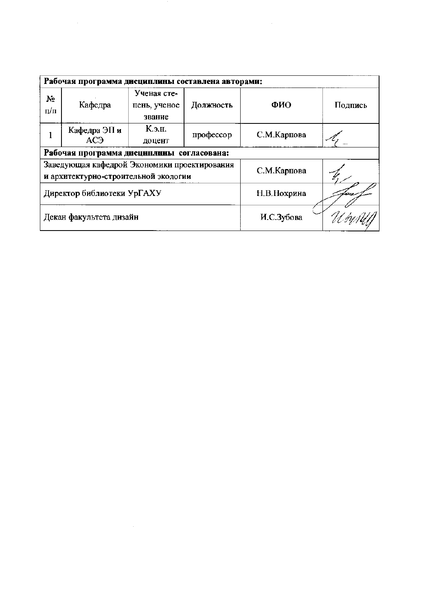|                 | Рабочая программа дисциплины составлена авторами:                                    |                                       |            |             |         |  |  |  |  |  |
|-----------------|--------------------------------------------------------------------------------------|---------------------------------------|------------|-------------|---------|--|--|--|--|--|
| No<br>$\Pi/\Pi$ | Кафедра                                                                              | Ученая сте-<br>пень, ученое<br>звание | Должность  | ФИО         | Подпись |  |  |  |  |  |
|                 | Кафедра ЭП и<br>AC <sub>3</sub>                                                      | К.э.н.<br>доцент                      | профессор  | С.М.Карпова |         |  |  |  |  |  |
|                 | Рабочая программа дисциплины согласована:                                            |                                       |            |             |         |  |  |  |  |  |
|                 | Заведующая кафедрой Экономики проектирования<br>и архитектурно-строительной экологии |                                       |            | С.М.Карпова |         |  |  |  |  |  |
|                 | Директор библиотеки УрГАХУ                                                           |                                       |            | Н.В.Нохрина |         |  |  |  |  |  |
|                 | Декан факультета дизайн                                                              |                                       | И.С.Зубова |             |         |  |  |  |  |  |

 $\label{eq:2.1} \mathcal{L}(\mathcal{L}^{\text{max}}_{\mathcal{L}}(\mathcal{L}^{\text{max}}_{\mathcal{L}})) \leq \mathcal{L}(\mathcal{L}^{\text{max}}_{\mathcal{L}}(\mathcal{L}^{\text{max}}_{\mathcal{L}}))$ 

 $\mathcal{L}(\mathcal{A})$  .

 $\mathcal{L}^{\text{max}}_{\text{max}}$